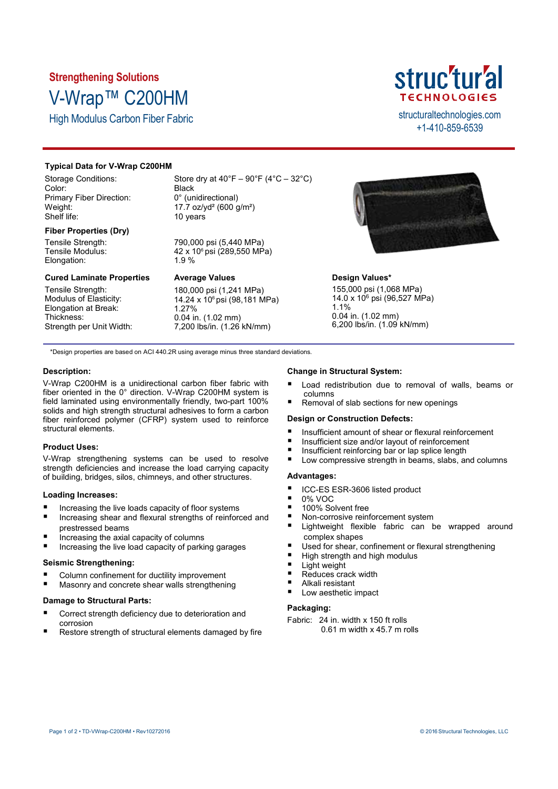# **Strengthening Solutions** V-Wrap™ C200HM

High Modulus Carbon Fiber Fabric structural technologies.com



+1-410-859-6539

# **Typical Data for V-Wrap C200HM**

Storage Conditions: Color: Primary Fiber Direction: Weight: Shelf life:

# **Fiber Properties (Dry)**

Tensile Strength: Tensile Modulus: Elongation:

## **Cured Laminate Properties**

Tensile Strength: Modulus of Elasticity: Elongation at Break: Thickness: Strength per Unit Width: Store dry at  $40^{\circ}F - 90^{\circ}F (4^{\circ}C - 32^{\circ}C)$ Black 0° (unidirectional) 17.7 oz/yd² (600 g/m²) 10 years

790,000 psi (5,440 MPa) 42 x 10<sup>6</sup> psi (289,550 MPa) 1.9 %

# **Average Values**

180,000 psi (1,241 MPa) 14.24 x 10<sup>6</sup> psi (98,181 MPa) 1.27% 0.04 in. (1.02 mm) 7,200 lbs/in. (1.26 kN/mm)



# **Design Values\***

155,000 psi (1,068 MPa) 14.0 x 10<sup>6</sup> psi (96,527 MPa) 1.1% 0.04 in. (1.02 mm) 6,200 lbs/in. (1.09 kN/mm)

\*Design properties are based on ACI 440.2R using average minus three standard deviations.

# **Description:**

V-Wrap C200HM is a unidirectional carbon fiber fabric with fiber oriented in the 0° direction. V-Wrap C200HM system is field laminated using environmentally friendly, two-part 100% solids and high strength structural adhesives to form a carbon fiber reinforced polymer (CFRP) system used to reinforce structural elements.

# **Product Uses:**

V-Wrap strengthening systems can be used to resolve strength deficiencies and increase the load carrying capacity of building, bridges, silos, chimneys, and other structures.

## **Loading Increases:**

- Increasing the live loads capacity of floor systems
- Increasing shear and flexural strengths of reinforced and prestressed beams
- Increasing the axial capacity of columns
- Increasing the live load capacity of parking garages

# **Seismic Strengthening:**

- Column confinement for ductility improvement
- Masonry and concrete shear walls strengthening

# **Damage to Structural Parts:**

- Correct strength deficiency due to deterioration and corrosion
- Restore strength of structural elements damaged by fire

## **Change in Structural System:**

- Load redistribution due to removal of walls, beams or columns
- Removal of slab sections for new openings

## **Design or Construction Defects:**

- Insufficient amount of shear or flexural reinforcement
- Insufficient size and/or layout of reinforcement
- $\blacksquare$  Insufficient reinforcing bar or lap splice length
- Low compressive strength in beams, slabs, and columns

# **Advantages:**

- ICC-ES ESR-3606 listed product
- 0% VOC
- 100% Solvent free
- Non-corrosive reinforcement system
- Lightweight flexible fabric can be wrapped around complex shapes
- Used for shear, confinement or flexural strengthening
- High strength and high modulus
- Light weight
- Reduces crack width
- Alkali resistant Low aesthetic impact

# **Packaging:**

- Fabric: 24 in. width x 150 ft rolls
	- 0.61 m width x 45.7 m rolls